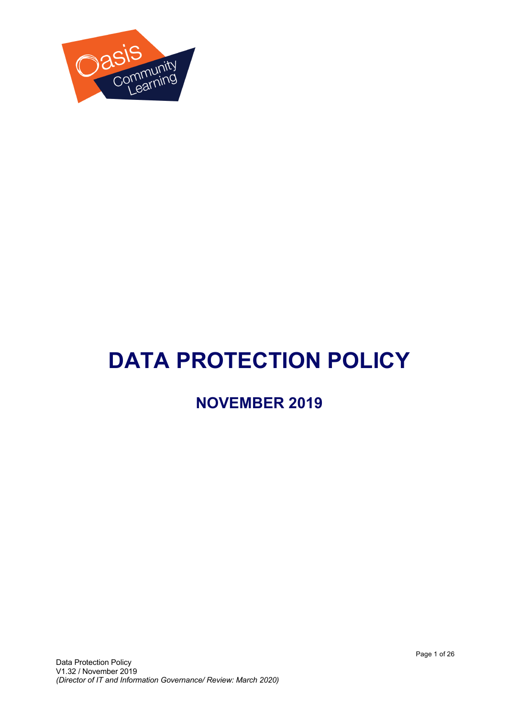

# **DATA PROTECTION POLICY**

# **NOVEMBER 2019**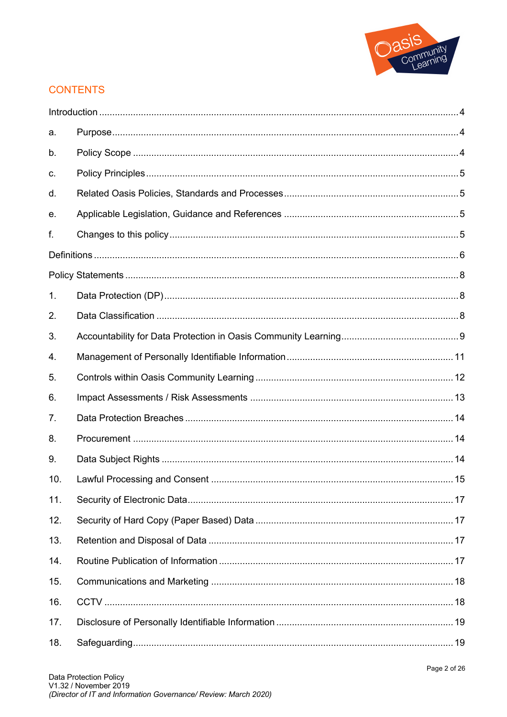

## **CONTENTS**

| а.  |  |
|-----|--|
| b.  |  |
| c.  |  |
| d.  |  |
| е.  |  |
| f.  |  |
|     |  |
|     |  |
| 1.  |  |
| 2.  |  |
| 3.  |  |
| 4.  |  |
| 5.  |  |
| 6.  |  |
| 7.  |  |
| 8.  |  |
| 9.  |  |
| 10. |  |
| 11. |  |
| 12. |  |
| 13. |  |
| 14. |  |
| 15. |  |
| 16. |  |
| 17. |  |
| 18. |  |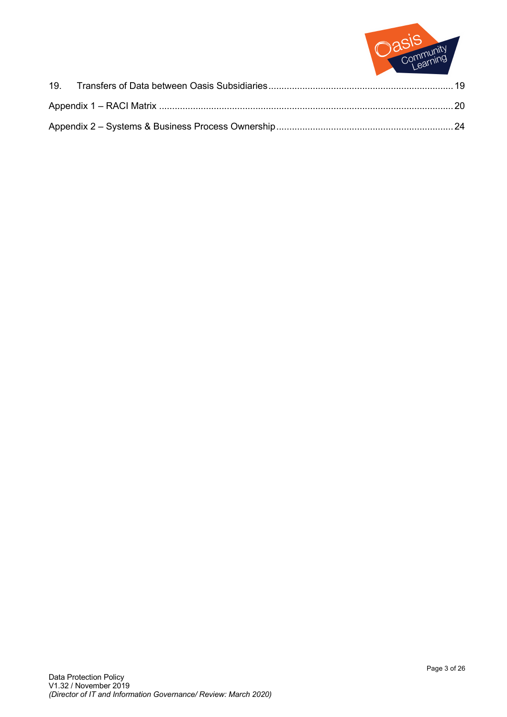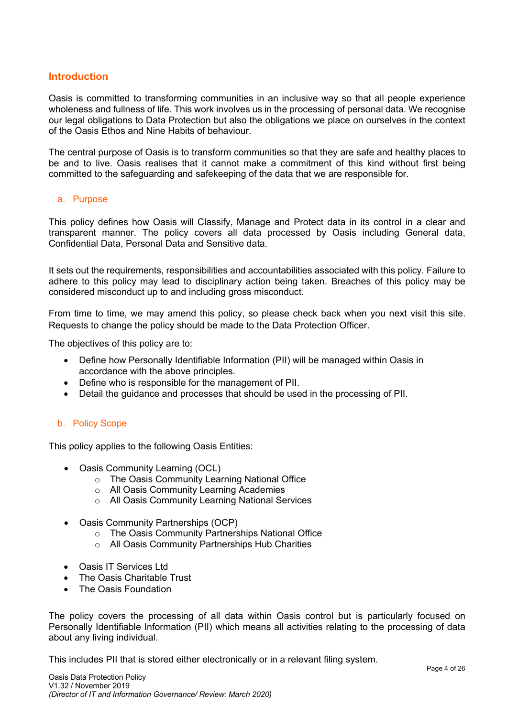#### **Introduction**

Oasis is committed to transforming communities in an inclusive way so that all people experience wholeness and fullness of life. This work involves us in the processing of personal data. We recognise our legal obligations to Data Protection but also the obligations we place on ourselves in the context of the Oasis Ethos and Nine Habits of behaviour.

The central purpose of Oasis is to transform communities so that they are safe and healthy places to be and to live. Oasis realises that it cannot make a commitment of this kind without first being committed to the safeguarding and safekeeping of the data that we are responsible for.

#### a. Purpose

This policy defines how Oasis will Classify, Manage and Protect data in its control in a clear and transparent manner. The policy covers all data processed by Oasis including General data, Confidential Data, Personal Data and Sensitive data.

It sets out the requirements, responsibilities and accountabilities associated with this policy. Failure to adhere to this policy may lead to disciplinary action being taken. Breaches of this policy may be considered misconduct up to and including gross misconduct.

From time to time, we may amend this policy, so please check back when you next visit this site. Requests to change the policy should be made to the Data Protection Officer.

The objectives of this policy are to:

- Define how Personally Identifiable Information (PII) will be managed within Oasis in accordance with the above principles.
- Define who is responsible for the management of PII.
- Detail the guidance and processes that should be used in the processing of PII.

#### b. Policy Scope

This policy applies to the following Oasis Entities:

- Oasis Community Learning (OCL)
	- o The Oasis Community Learning National Office
	- o All Oasis Community Learning Academies
	- o All Oasis Community Learning National Services
- Oasis Community Partnerships (OCP)
	- o The Oasis Community Partnerships National Office
	- o All Oasis Community Partnerships Hub Charities
- Oasis IT Services Ltd
- The Oasis Charitable Trust
- The Oasis Foundation

The policy covers the processing of all data within Oasis control but is particularly focused on Personally Identifiable Information (PII) which means all activities relating to the processing of data about any living individual.

This includes PII that is stored either electronically or in a relevant filing system.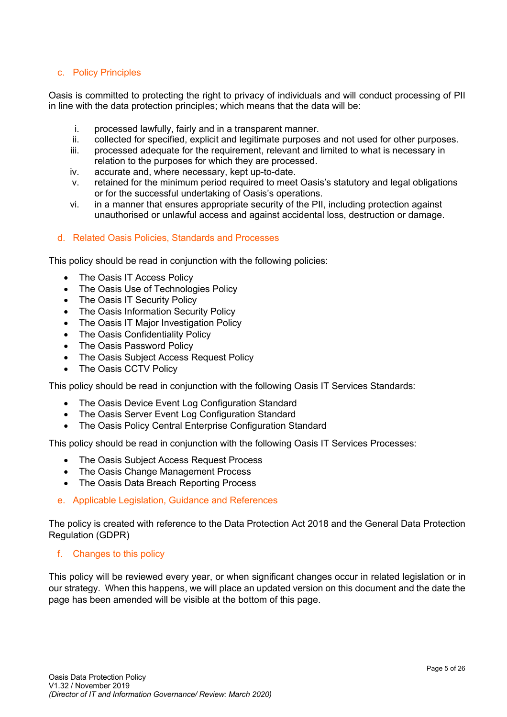#### c. Policy Principles

Oasis is committed to protecting the right to privacy of individuals and will conduct processing of PII in line with the data protection principles; which means that the data will be:

- i. processed lawfully, fairly and in a transparent manner.
- ii. collected for specified, explicit and legitimate purposes and not used for other purposes.
- iii. processed adequate for the requirement, relevant and limited to what is necessary in relation to the purposes for which they are processed.
- iv. accurate and, where necessary, kept up-to-date.
- v. retained for the minimum period required to meet Oasis's statutory and legal obligations or for the successful undertaking of Oasis's operations.
- vi. in a manner that ensures appropriate security of the PII, including protection against unauthorised or unlawful access and against accidental loss, destruction or damage.

#### d. Related Oasis Policies, Standards and Processes

This policy should be read in conjunction with the following policies:

- The Oasis IT Access Policy
- The Oasis Use of Technologies Policy
- The Oasis IT Security Policy
- The Oasis Information Security Policy
- The Oasis IT Major Investigation Policy
- The Oasis Confidentiality Policy
- The Oasis Password Policy
- The Oasis Subject Access Request Policy
- The Oasis CCTV Policy

This policy should be read in conjunction with the following Oasis IT Services Standards:

- The Oasis Device Event Log Configuration Standard
- The Oasis Server Event Log Configuration Standard
- The Oasis Policy Central Enterprise Configuration Standard

This policy should be read in conjunction with the following Oasis IT Services Processes:

- The Oasis Subject Access Request Process
- The Oasis Change Management Process
- The Oasis Data Breach Reporting Process

#### e. Applicable Legislation, Guidance and References

The policy is created with reference to the Data Protection Act 2018 and the General Data Protection Regulation (GDPR)

#### f. Changes to this policy

This policy will be reviewed every year, or when significant changes occur in related legislation or in our strategy. When this happens, we will place an updated version on this document and the date the page has been amended will be visible at the bottom of this page.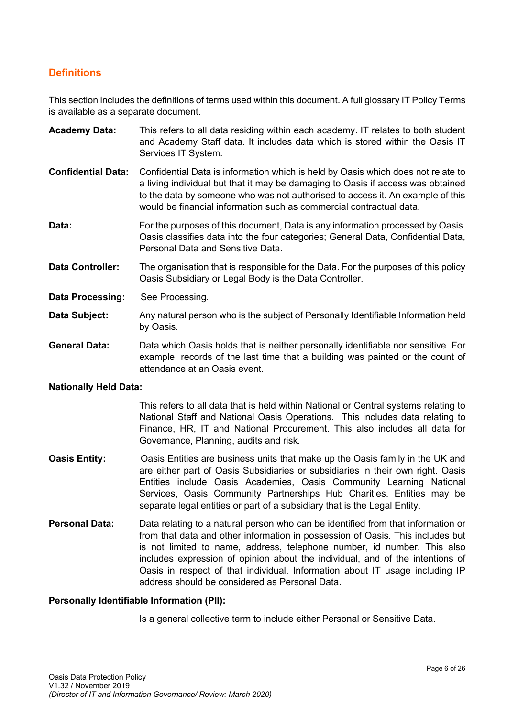#### **Definitions**

This section includes the definitions of terms used within this document. A full glossary IT Policy Terms is available as a separate document.

- **Academy Data:** This refers to all data residing within each academy. IT relates to both student and Academy Staff data. It includes data which is stored within the Oasis IT Services IT System.
- **Confidential Data:** Confidential Data is information which is held by Oasis which does not relate to a living individual but that it may be damaging to Oasis if access was obtained to the data by someone who was not authorised to access it. An example of this would be financial information such as commercial contractual data.
- **Data:** For the purposes of this document, Data is any information processed by Oasis. Oasis classifies data into the four categories; General Data, Confidential Data, Personal Data and Sensitive Data.
- **Data Controller:** The organisation that is responsible for the Data. For the purposes of this policy Oasis Subsidiary or Legal Body is the Data Controller.
- **Data Processing:** See Processing.
- **Data Subject:** Any natural person who is the subject of Personally Identifiable Information held by Oasis.
- **General Data:** Data which Oasis holds that is neither personally identifiable nor sensitive. For example, records of the last time that a building was painted or the count of attendance at an Oasis event.

#### **Nationally Held Data:**

This refers to all data that is held within National or Central systems relating to National Staff and National Oasis Operations. This includes data relating to Finance, HR, IT and National Procurement. This also includes all data for Governance, Planning, audits and risk.

- **Oasis Entity:** Oasis Entities are business units that make up the Oasis family in the UK and are either part of Oasis Subsidiaries or subsidiaries in their own right. Oasis Entities include Oasis Academies, Oasis Community Learning National Services, Oasis Community Partnerships Hub Charities. Entities may be separate legal entities or part of a subsidiary that is the Legal Entity.
- **Personal Data:** Data relating to a natural person who can be identified from that information or from that data and other information in possession of Oasis. This includes but is not limited to name, address, telephone number, id number. This also includes expression of opinion about the individual, and of the intentions of Oasis in respect of that individual. Information about IT usage including IP address should be considered as Personal Data.

#### **Personally Identifiable Information (PII):**

Is a general collective term to include either Personal or Sensitive Data.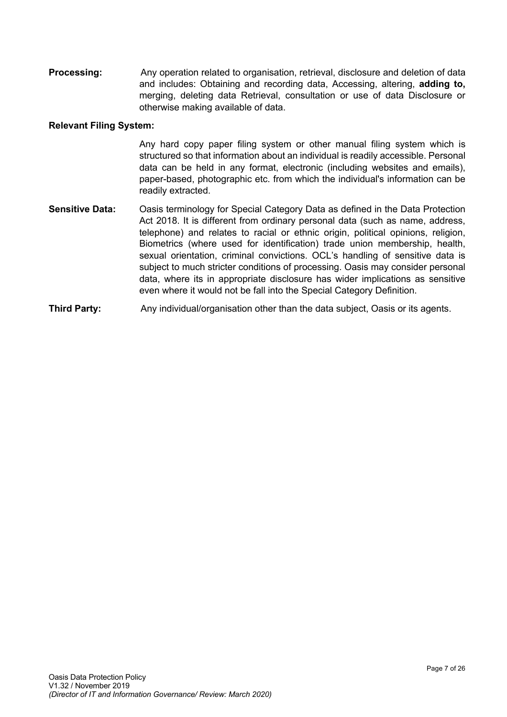**Processing:** Any operation related to organisation, retrieval, disclosure and deletion of data and includes: Obtaining and recording data, Accessing, altering, **adding to,**  merging, deleting data Retrieval, consultation or use of data Disclosure or otherwise making available of data.

#### **Relevant Filing System:**

Any hard copy paper filing system or other manual filing system which is structured so that information about an individual is readily accessible. Personal data can be held in any format, electronic (including websites and emails), paper-based, photographic etc. from which the individual's information can be readily extracted.

- **Sensitive Data:** Oasis terminology for Special Category Data as defined in the Data Protection Act 2018. It is different from ordinary personal data (such as name, address, telephone) and relates to racial or ethnic origin, political opinions, religion, Biometrics (where used for identification) trade union membership, health, sexual orientation, criminal convictions. OCL's handling of sensitive data is subject to much stricter conditions of processing. Oasis may consider personal data, where its in appropriate disclosure has wider implications as sensitive even where it would not be fall into the Special Category Definition.
- **Third Party:** Any individual/organisation other than the data subject, Oasis or its agents.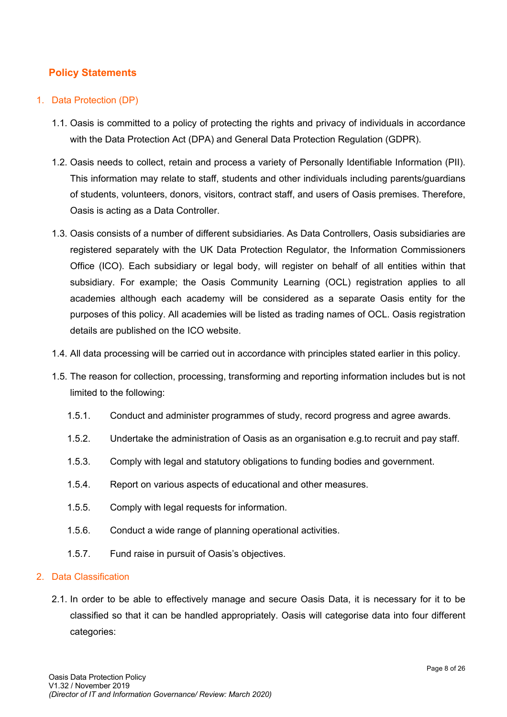## **Policy Statements**

#### 1. Data Protection (DP)

- 1.1. Oasis is committed to a policy of protecting the rights and privacy of individuals in accordance with the Data Protection Act (DPA) and General Data Protection Regulation (GDPR).
- 1.2. Oasis needs to collect, retain and process a variety of Personally Identifiable Information (PII). This information may relate to staff, students and other individuals including parents/guardians of students, volunteers, donors, visitors, contract staff, and users of Oasis premises. Therefore, Oasis is acting as a Data Controller.
- 1.3. Oasis consists of a number of different subsidiaries. As Data Controllers, Oasis subsidiaries are registered separately with the UK Data Protection Regulator, the Information Commissioners Office (ICO). Each subsidiary or legal body, will register on behalf of all entities within that subsidiary. For example; the Oasis Community Learning (OCL) registration applies to all academies although each academy will be considered as a separate Oasis entity for the purposes of this policy. All academies will be listed as trading names of OCL. Oasis registration details are published on the ICO website.
- 1.4. All data processing will be carried out in accordance with principles stated earlier in this policy.
- 1.5. The reason for collection, processing, transforming and reporting information includes but is not limited to the following:
	- 1.5.1. Conduct and administer programmes of study, record progress and agree awards.
	- 1.5.2. Undertake the administration of Oasis as an organisation e.g.to recruit and pay staff.
	- 1.5.3. Comply with legal and statutory obligations to funding bodies and government.
	- 1.5.4. Report on various aspects of educational and other measures.
	- 1.5.5. Comply with legal requests for information.
	- 1.5.6. Conduct a wide range of planning operational activities.
	- 1.5.7. Fund raise in pursuit of Oasis's objectives.

#### 2. Data Classification

2.1. In order to be able to effectively manage and secure Oasis Data, it is necessary for it to be classified so that it can be handled appropriately. Oasis will categorise data into four different categories: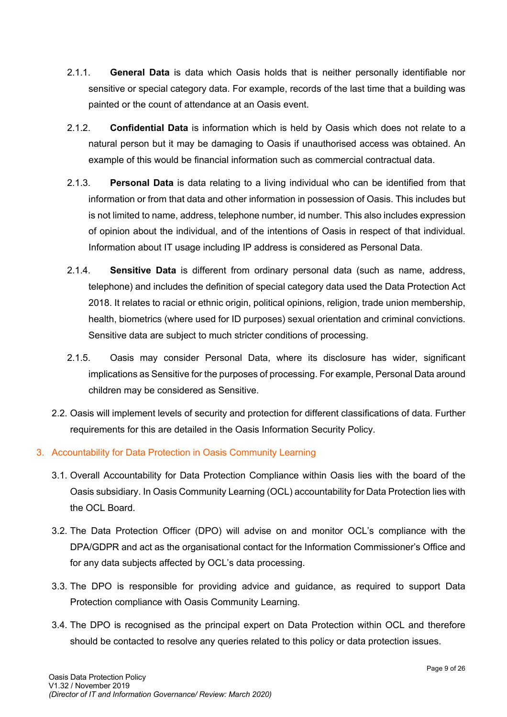- 2.1.1. **General Data** is data which Oasis holds that is neither personally identifiable nor sensitive or special category data. For example, records of the last time that a building was painted or the count of attendance at an Oasis event.
- 2.1.2. **Confidential Data** is information which is held by Oasis which does not relate to a natural person but it may be damaging to Oasis if unauthorised access was obtained. An example of this would be financial information such as commercial contractual data.
- 2.1.3. **Personal Data** is data relating to a living individual who can be identified from that information or from that data and other information in possession of Oasis. This includes but is not limited to name, address, telephone number, id number. This also includes expression of opinion about the individual, and of the intentions of Oasis in respect of that individual. Information about IT usage including IP address is considered as Personal Data.
- 2.1.4. **Sensitive Data** is different from ordinary personal data (such as name, address, telephone) and includes the definition of special category data used the Data Protection Act 2018. It relates to racial or ethnic origin, political opinions, religion, trade union membership, health, biometrics (where used for ID purposes) sexual orientation and criminal convictions. Sensitive data are subject to much stricter conditions of processing.
- 2.1.5. Oasis may consider Personal Data, where its disclosure has wider, significant implications as Sensitive for the purposes of processing. For example, Personal Data around children may be considered as Sensitive.
- 2.2. Oasis will implement levels of security and protection for different classifications of data. Further requirements for this are detailed in the Oasis Information Security Policy.
- 3. Accountability for Data Protection in Oasis Community Learning
	- 3.1. Overall Accountability for Data Protection Compliance within Oasis lies with the board of the Oasis subsidiary. In Oasis Community Learning (OCL) accountability for Data Protection lies with the OCL Board.
	- 3.2. The Data Protection Officer (DPO) will advise on and monitor OCL's compliance with the DPA/GDPR and act as the organisational contact for the Information Commissioner's Office and for any data subjects affected by OCL's data processing.
	- 3.3. The DPO is responsible for providing advice and guidance, as required to support Data Protection compliance with Oasis Community Learning.
	- 3.4. The DPO is recognised as the principal expert on Data Protection within OCL and therefore should be contacted to resolve any queries related to this policy or data protection issues.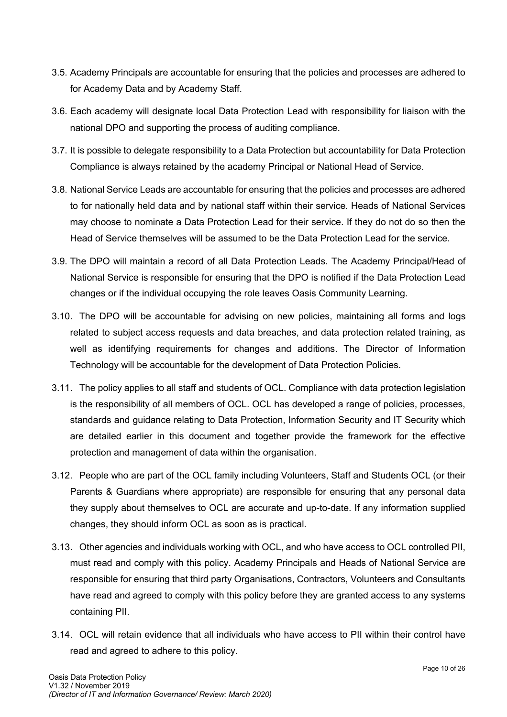- 3.5. Academy Principals are accountable for ensuring that the policies and processes are adhered to for Academy Data and by Academy Staff.
- 3.6. Each academy will designate local Data Protection Lead with responsibility for liaison with the national DPO and supporting the process of auditing compliance.
- 3.7. It is possible to delegate responsibility to a Data Protection but accountability for Data Protection Compliance is always retained by the academy Principal or National Head of Service.
- 3.8. National Service Leads are accountable for ensuring that the policies and processes are adhered to for nationally held data and by national staff within their service. Heads of National Services may choose to nominate a Data Protection Lead for their service. If they do not do so then the Head of Service themselves will be assumed to be the Data Protection Lead for the service.
- 3.9. The DPO will maintain a record of all Data Protection Leads. The Academy Principal/Head of National Service is responsible for ensuring that the DPO is notified if the Data Protection Lead changes or if the individual occupying the role leaves Oasis Community Learning.
- 3.10. The DPO will be accountable for advising on new policies, maintaining all forms and logs related to subject access requests and data breaches, and data protection related training, as well as identifying requirements for changes and additions. The Director of Information Technology will be accountable for the development of Data Protection Policies.
- 3.11. The policy applies to all staff and students of OCL. Compliance with data protection legislation is the responsibility of all members of OCL. OCL has developed a range of policies, processes, standards and guidance relating to Data Protection, Information Security and IT Security which are detailed earlier in this document and together provide the framework for the effective protection and management of data within the organisation.
- 3.12. People who are part of the OCL family including Volunteers, Staff and Students OCL (or their Parents & Guardians where appropriate) are responsible for ensuring that any personal data they supply about themselves to OCL are accurate and up-to-date. If any information supplied changes, they should inform OCL as soon as is practical.
- 3.13. Other agencies and individuals working with OCL, and who have access to OCL controlled PII, must read and comply with this policy. Academy Principals and Heads of National Service are responsible for ensuring that third party Organisations, Contractors, Volunteers and Consultants have read and agreed to comply with this policy before they are granted access to any systems containing PII.
- 3.14. OCL will retain evidence that all individuals who have access to PII within their control have read and agreed to adhere to this policy.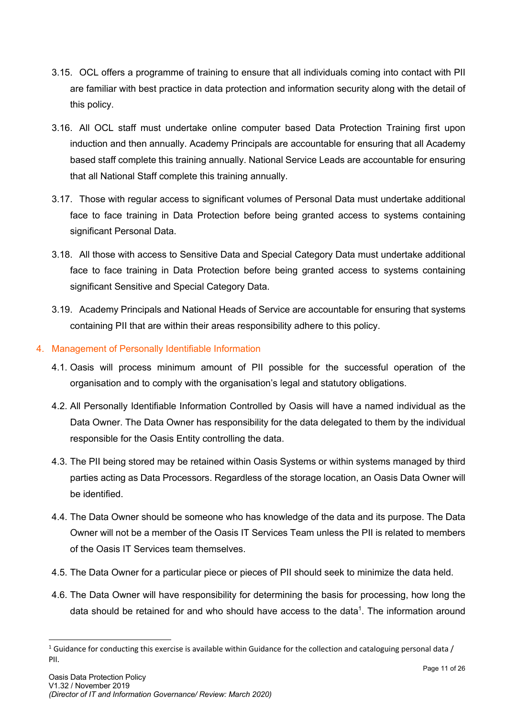- 3.15. OCL offers a programme of training to ensure that all individuals coming into contact with PII are familiar with best practice in data protection and information security along with the detail of this policy.
- 3.16. All OCL staff must undertake online computer based Data Protection Training first upon induction and then annually. Academy Principals are accountable for ensuring that all Academy based staff complete this training annually. National Service Leads are accountable for ensuring that all National Staff complete this training annually.
- 3.17. Those with regular access to significant volumes of Personal Data must undertake additional face to face training in Data Protection before being granted access to systems containing significant Personal Data.
- 3.18. All those with access to Sensitive Data and Special Category Data must undertake additional face to face training in Data Protection before being granted access to systems containing significant Sensitive and Special Category Data.
- 3.19. Academy Principals and National Heads of Service are accountable for ensuring that systems containing PII that are within their areas responsibility adhere to this policy.
- 4. Management of Personally Identifiable Information
	- 4.1. Oasis will process minimum amount of PII possible for the successful operation of the organisation and to comply with the organisation's legal and statutory obligations.
	- 4.2. All Personally Identifiable Information Controlled by Oasis will have a named individual as the Data Owner. The Data Owner has responsibility for the data delegated to them by the individual responsible for the Oasis Entity controlling the data.
	- 4.3. The PII being stored may be retained within Oasis Systems or within systems managed by third parties acting as Data Processors. Regardless of the storage location, an Oasis Data Owner will be identified.
	- 4.4. The Data Owner should be someone who has knowledge of the data and its purpose. The Data Owner will not be a member of the Oasis IT Services Team unless the PII is related to members of the Oasis IT Services team themselves.
	- 4.5. The Data Owner for a particular piece or pieces of PII should seek to minimize the data held.
	- 4.6. The Data Owner will have responsibility for determining the basis for processing, how long the data should be retained for and who should have access to the data<sup>1</sup>. The information around

<sup>&</sup>lt;sup>1</sup> Guidance for conducting this exercise is available within Guidance for the collection and cataloguing personal data / PII.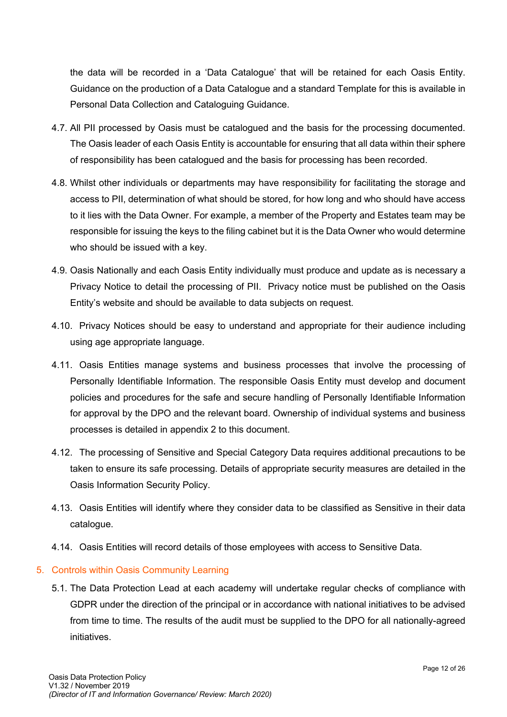the data will be recorded in a 'Data Catalogue' that will be retained for each Oasis Entity. Guidance on the production of a Data Catalogue and a standard Template for this is available in Personal Data Collection and Cataloguing Guidance.

- 4.7. All PII processed by Oasis must be catalogued and the basis for the processing documented. The Oasis leader of each Oasis Entity is accountable for ensuring that all data within their sphere of responsibility has been catalogued and the basis for processing has been recorded.
- 4.8. Whilst other individuals or departments may have responsibility for facilitating the storage and access to PII, determination of what should be stored, for how long and who should have access to it lies with the Data Owner. For example, a member of the Property and Estates team may be responsible for issuing the keys to the filing cabinet but it is the Data Owner who would determine who should be issued with a key.
- 4.9. Oasis Nationally and each Oasis Entity individually must produce and update as is necessary a Privacy Notice to detail the processing of PII. Privacy notice must be published on the Oasis Entity's website and should be available to data subjects on request.
- 4.10. Privacy Notices should be easy to understand and appropriate for their audience including using age appropriate language.
- 4.11. Oasis Entities manage systems and business processes that involve the processing of Personally Identifiable Information. The responsible Oasis Entity must develop and document policies and procedures for the safe and secure handling of Personally Identifiable Information for approval by the DPO and the relevant board. Ownership of individual systems and business processes is detailed in appendix 2 to this document.
- 4.12. The processing of Sensitive and Special Category Data requires additional precautions to be taken to ensure its safe processing. Details of appropriate security measures are detailed in the Oasis Information Security Policy.
- 4.13. Oasis Entities will identify where they consider data to be classified as Sensitive in their data catalogue.
- 4.14. Oasis Entities will record details of those employees with access to Sensitive Data.

#### 5. Controls within Oasis Community Learning

5.1. The Data Protection Lead at each academy will undertake regular checks of compliance with GDPR under the direction of the principal or in accordance with national initiatives to be advised from time to time. The results of the audit must be supplied to the DPO for all nationally-agreed initiatives.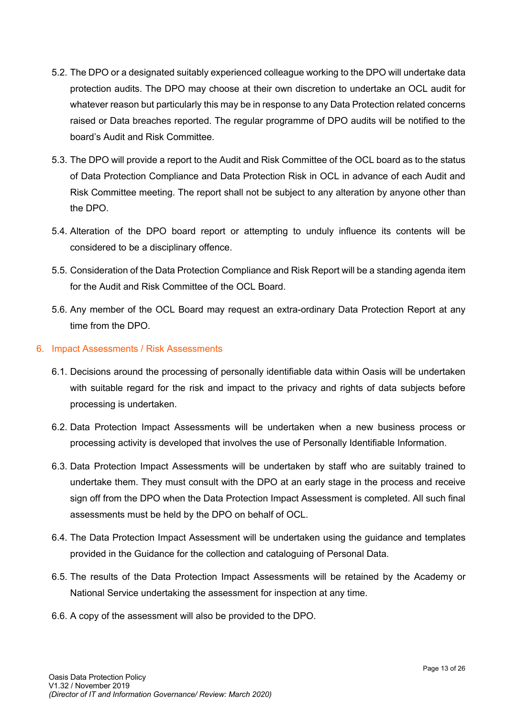- 5.2. The DPO or a designated suitably experienced colleague working to the DPO will undertake data protection audits. The DPO may choose at their own discretion to undertake an OCL audit for whatever reason but particularly this may be in response to any Data Protection related concerns raised or Data breaches reported. The regular programme of DPO audits will be notified to the board's Audit and Risk Committee.
- 5.3. The DPO will provide a report to the Audit and Risk Committee of the OCL board as to the status of Data Protection Compliance and Data Protection Risk in OCL in advance of each Audit and Risk Committee meeting. The report shall not be subject to any alteration by anyone other than the DPO.
- 5.4. Alteration of the DPO board report or attempting to unduly influence its contents will be considered to be a disciplinary offence.
- 5.5. Consideration of the Data Protection Compliance and Risk Report will be a standing agenda item for the Audit and Risk Committee of the OCL Board.
- 5.6. Any member of the OCL Board may request an extra-ordinary Data Protection Report at any time from the DPO.
- 6. Impact Assessments / Risk Assessments
	- 6.1. Decisions around the processing of personally identifiable data within Oasis will be undertaken with suitable regard for the risk and impact to the privacy and rights of data subjects before processing is undertaken.
	- 6.2. Data Protection Impact Assessments will be undertaken when a new business process or processing activity is developed that involves the use of Personally Identifiable Information.
	- 6.3. Data Protection Impact Assessments will be undertaken by staff who are suitably trained to undertake them. They must consult with the DPO at an early stage in the process and receive sign off from the DPO when the Data Protection Impact Assessment is completed. All such final assessments must be held by the DPO on behalf of OCL.
	- 6.4. The Data Protection Impact Assessment will be undertaken using the guidance and templates provided in the Guidance for the collection and cataloguing of Personal Data.
	- 6.5. The results of the Data Protection Impact Assessments will be retained by the Academy or National Service undertaking the assessment for inspection at any time.
	- 6.6. A copy of the assessment will also be provided to the DPO.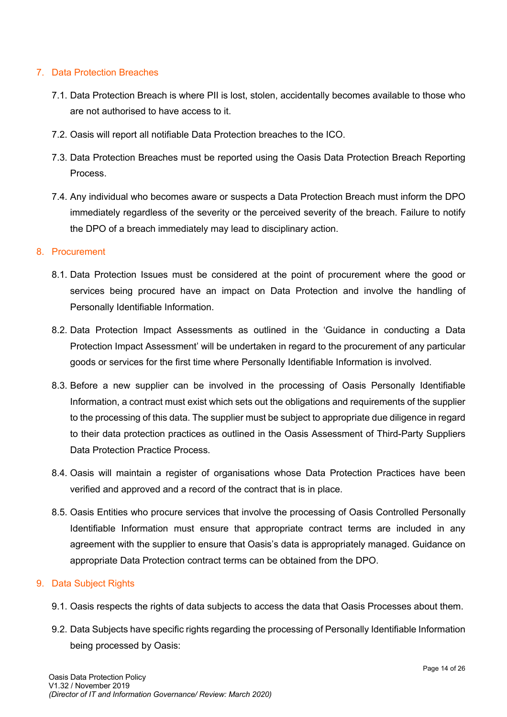#### 7. Data Protection Breaches

- 7.1. Data Protection Breach is where PII is lost, stolen, accidentally becomes available to those who are not authorised to have access to it.
- 7.2. Oasis will report all notifiable Data Protection breaches to the ICO.
- 7.3. Data Protection Breaches must be reported using the Oasis Data Protection Breach Reporting Process.
- 7.4. Any individual who becomes aware or suspects a Data Protection Breach must inform the DPO immediately regardless of the severity or the perceived severity of the breach. Failure to notify the DPO of a breach immediately may lead to disciplinary action.

#### 8. Procurement

- 8.1. Data Protection Issues must be considered at the point of procurement where the good or services being procured have an impact on Data Protection and involve the handling of Personally Identifiable Information.
- 8.2. Data Protection Impact Assessments as outlined in the 'Guidance in conducting a Data Protection Impact Assessment' will be undertaken in regard to the procurement of any particular goods or services for the first time where Personally Identifiable Information is involved.
- 8.3. Before a new supplier can be involved in the processing of Oasis Personally Identifiable Information, a contract must exist which sets out the obligations and requirements of the supplier to the processing of this data. The supplier must be subject to appropriate due diligence in regard to their data protection practices as outlined in the Oasis Assessment of Third-Party Suppliers Data Protection Practice Process.
- 8.4. Oasis will maintain a register of organisations whose Data Protection Practices have been verified and approved and a record of the contract that is in place.
- 8.5. Oasis Entities who procure services that involve the processing of Oasis Controlled Personally Identifiable Information must ensure that appropriate contract terms are included in any agreement with the supplier to ensure that Oasis's data is appropriately managed. Guidance on appropriate Data Protection contract terms can be obtained from the DPO.

#### 9. Data Subject Rights

- 9.1. Oasis respects the rights of data subjects to access the data that Oasis Processes about them.
- 9.2. Data Subjects have specific rights regarding the processing of Personally Identifiable Information being processed by Oasis: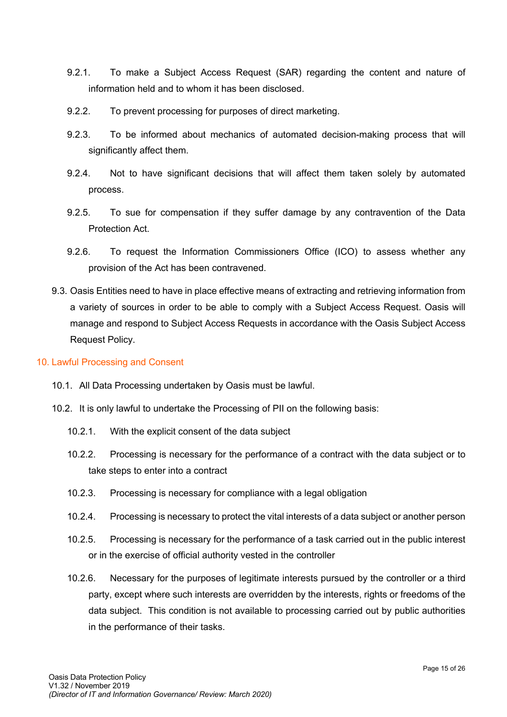- 9.2.1. To make a Subject Access Request (SAR) regarding the content and nature of information held and to whom it has been disclosed.
- 9.2.2. To prevent processing for purposes of direct marketing.
- 9.2.3. To be informed about mechanics of automated decision-making process that will significantly affect them.
- 9.2.4. Not to have significant decisions that will affect them taken solely by automated process.
- 9.2.5. To sue for compensation if they suffer damage by any contravention of the Data Protection Act.
- 9.2.6. To request the Information Commissioners Office (ICO) to assess whether any provision of the Act has been contravened.
- 9.3. Oasis Entities need to have in place effective means of extracting and retrieving information from a variety of sources in order to be able to comply with a Subject Access Request. Oasis will manage and respond to Subject Access Requests in accordance with the Oasis Subject Access Request Policy.

#### 10. Lawful Processing and Consent

- 10.1. All Data Processing undertaken by Oasis must be lawful.
- 10.2. It is only lawful to undertake the Processing of PII on the following basis:
	- 10.2.1. With the explicit consent of the data subject
	- 10.2.2. Processing is necessary for the performance of a contract with the data subject or to take steps to enter into a contract
	- 10.2.3. Processing is necessary for compliance with a legal obligation
	- 10.2.4. Processing is necessary to protect the vital interests of a data subject or another person
	- 10.2.5. Processing is necessary for the performance of a task carried out in the public interest or in the exercise of official authority vested in the controller
	- 10.2.6. Necessary for the purposes of legitimate interests pursued by the controller or a third party, except where such interests are overridden by the interests, rights or freedoms of the data subject. This condition is not available to processing carried out by public authorities in the performance of their tasks.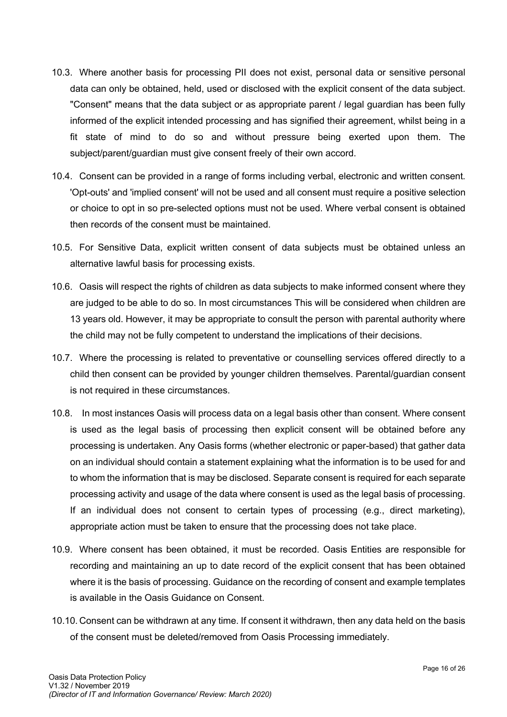- 10.3. Where another basis for processing PII does not exist, personal data or sensitive personal data can only be obtained, held, used or disclosed with the explicit consent of the data subject. "Consent" means that the data subject or as appropriate parent / legal guardian has been fully informed of the explicit intended processing and has signified their agreement, whilst being in a fit state of mind to do so and without pressure being exerted upon them. The subject/parent/guardian must give consent freely of their own accord.
- 10.4. Consent can be provided in a range of forms including verbal, electronic and written consent. 'Opt-outs' and 'implied consent' will not be used and all consent must require a positive selection or choice to opt in so pre-selected options must not be used. Where verbal consent is obtained then records of the consent must be maintained.
- 10.5. For Sensitive Data, explicit written consent of data subjects must be obtained unless an alternative lawful basis for processing exists.
- 10.6. Oasis will respect the rights of children as data subjects to make informed consent where they are judged to be able to do so. In most circumstances This will be considered when children are 13 years old. However, it may be appropriate to consult the person with parental authority where the child may not be fully competent to understand the implications of their decisions.
- 10.7. Where the processing is related to preventative or counselling services offered directly to a child then consent can be provided by younger children themselves. Parental/guardian consent is not required in these circumstances.
- 10.8. In most instances Oasis will process data on a legal basis other than consent. Where consent is used as the legal basis of processing then explicit consent will be obtained before any processing is undertaken. Any Oasis forms (whether electronic or paper-based) that gather data on an individual should contain a statement explaining what the information is to be used for and to whom the information that is may be disclosed. Separate consent is required for each separate processing activity and usage of the data where consent is used as the legal basis of processing. If an individual does not consent to certain types of processing (e.g., direct marketing), appropriate action must be taken to ensure that the processing does not take place.
- 10.9. Where consent has been obtained, it must be recorded. Oasis Entities are responsible for recording and maintaining an up to date record of the explicit consent that has been obtained where it is the basis of processing. Guidance on the recording of consent and example templates is available in the Oasis Guidance on Consent.
- 10.10. Consent can be withdrawn at any time. If consent it withdrawn, then any data held on the basis of the consent must be deleted/removed from Oasis Processing immediately.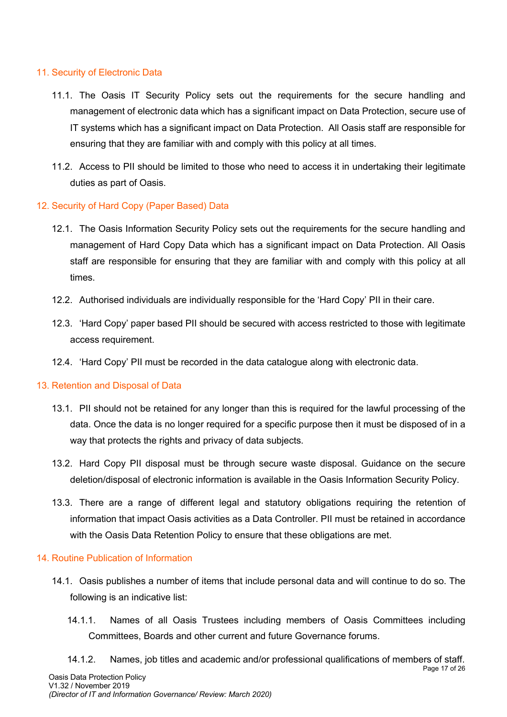#### 11. Security of Electronic Data

- 11.1. The Oasis IT Security Policy sets out the requirements for the secure handling and management of electronic data which has a significant impact on Data Protection, secure use of IT systems which has a significant impact on Data Protection. All Oasis staff are responsible for ensuring that they are familiar with and comply with this policy at all times.
- 11.2. Access to PII should be limited to those who need to access it in undertaking their legitimate duties as part of Oasis.

#### 12. Security of Hard Copy (Paper Based) Data

- 12.1. The Oasis Information Security Policy sets out the requirements for the secure handling and management of Hard Copy Data which has a significant impact on Data Protection. All Oasis staff are responsible for ensuring that they are familiar with and comply with this policy at all times.
- 12.2. Authorised individuals are individually responsible for the 'Hard Copy' PII in their care.
- 12.3. 'Hard Copy' paper based PII should be secured with access restricted to those with legitimate access requirement.
- 12.4. 'Hard Copy' PII must be recorded in the data catalogue along with electronic data.

#### 13. Retention and Disposal of Data

- 13.1. PII should not be retained for any longer than this is required for the lawful processing of the data. Once the data is no longer required for a specific purpose then it must be disposed of in a way that protects the rights and privacy of data subjects.
- 13.2. Hard Copy PII disposal must be through secure waste disposal. Guidance on the secure deletion/disposal of electronic information is available in the Oasis Information Security Policy.
- 13.3. There are a range of different legal and statutory obligations requiring the retention of information that impact Oasis activities as a Data Controller. PII must be retained in accordance with the Oasis Data Retention Policy to ensure that these obligations are met.

#### 14. Routine Publication of Information

- 14.1. Oasis publishes a number of items that include personal data and will continue to do so. The following is an indicative list:
	- 14.1.1. Names of all Oasis Trustees including members of Oasis Committees including Committees, Boards and other current and future Governance forums.
- Page 17 of 26 Oasis Data Protection Policy V1.32 / November 2019 14.1.2. Names, job titles and academic and/or professional qualifications of members of staff.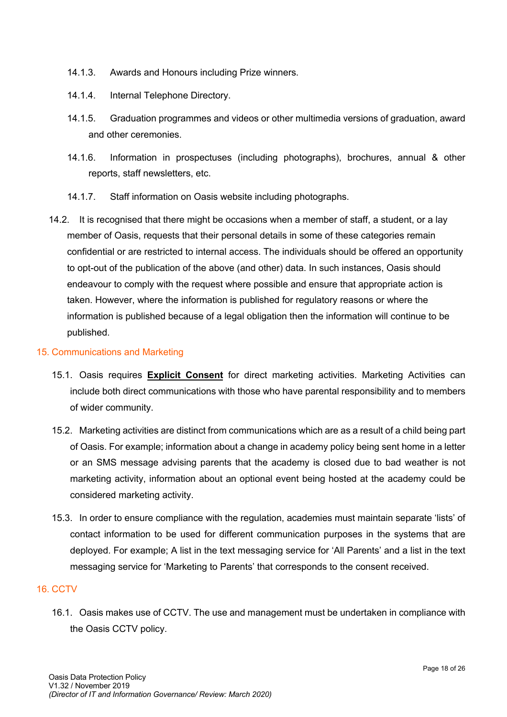- 14.1.3. Awards and Honours including Prize winners.
- 14.1.4. Internal Telephone Directory.
- 14.1.5. Graduation programmes and videos or other multimedia versions of graduation, award and other ceremonies.
- 14.1.6. Information in prospectuses (including photographs), brochures, annual & other reports, staff newsletters, etc.
- 14.1.7. Staff information on Oasis website including photographs.
- 14.2. It is recognised that there might be occasions when a member of staff, a student, or a lay member of Oasis, requests that their personal details in some of these categories remain confidential or are restricted to internal access. The individuals should be offered an opportunity to opt-out of the publication of the above (and other) data. In such instances, Oasis should endeavour to comply with the request where possible and ensure that appropriate action is taken. However, where the information is published for regulatory reasons or where the information is published because of a legal obligation then the information will continue to be published.

#### 15. Communications and Marketing

- 15.1. Oasis requires **Explicit Consent** for direct marketing activities. Marketing Activities can include both direct communications with those who have parental responsibility and to members of wider community.
- 15.2. Marketing activities are distinct from communications which are as a result of a child being part of Oasis. For example; information about a change in academy policy being sent home in a letter or an SMS message advising parents that the academy is closed due to bad weather is not marketing activity, information about an optional event being hosted at the academy could be considered marketing activity.
- 15.3. In order to ensure compliance with the regulation, academies must maintain separate 'lists' of contact information to be used for different communication purposes in the systems that are deployed. For example; A list in the text messaging service for 'All Parents' and a list in the text messaging service for 'Marketing to Parents' that corresponds to the consent received.

#### 16. CCTV

16.1. Oasis makes use of CCTV. The use and management must be undertaken in compliance with the Oasis CCTV policy.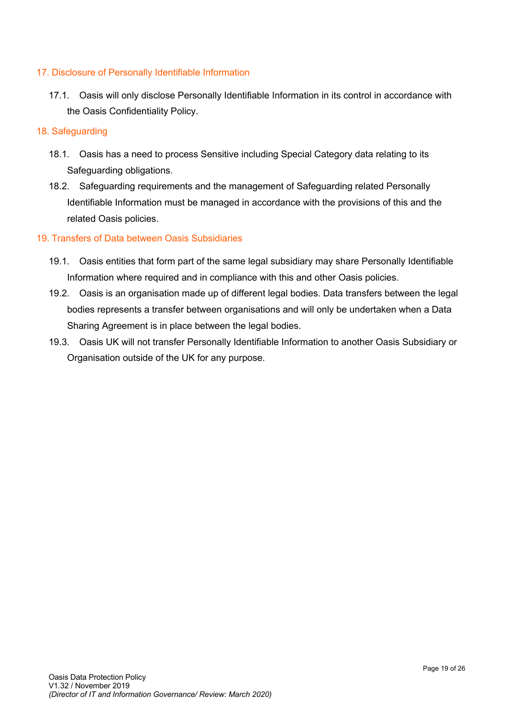#### 17. Disclosure of Personally Identifiable Information

17.1. Oasis will only disclose Personally Identifiable Information in its control in accordance with the Oasis Confidentiality Policy.

#### 18. Safeguarding

- 18.1. Oasis has a need to process Sensitive including Special Category data relating to its Safeguarding obligations.
- 18.2. Safeguarding requirements and the management of Safeguarding related Personally Identifiable Information must be managed in accordance with the provisions of this and the related Oasis policies.

#### 19. Transfers of Data between Oasis Subsidiaries

- 19.1. Oasis entities that form part of the same legal subsidiary may share Personally Identifiable Information where required and in compliance with this and other Oasis policies.
- 19.2. Oasis is an organisation made up of different legal bodies. Data transfers between the legal bodies represents a transfer between organisations and will only be undertaken when a Data Sharing Agreement is in place between the legal bodies.
- 19.3. Oasis UK will not transfer Personally Identifiable Information to another Oasis Subsidiary or Organisation outside of the UK for any purpose.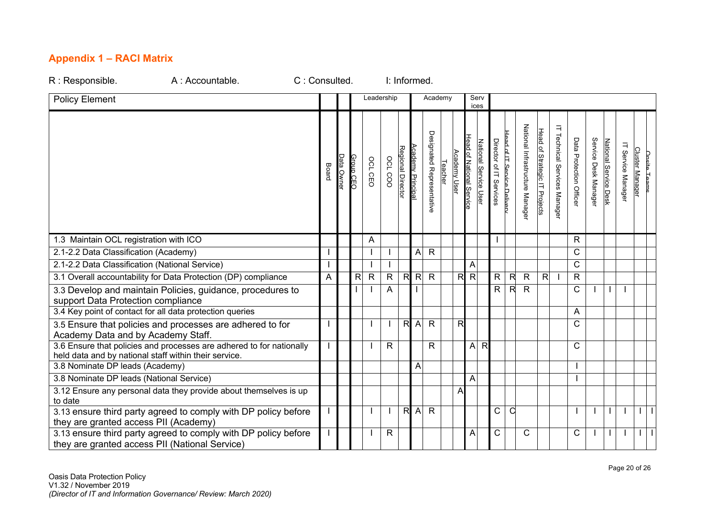### **Appendix 1 – RACI Matrix**

| R : Responsible.<br>A : Accountable.                                                                                          | C: Consulted. |                |            |           |              |              | I: Informed.             |                   |                           |                |                |                          |                       |                         |                            |                                   |                               |                                        |                        |                      |                       |                             |                        |              |
|-------------------------------------------------------------------------------------------------------------------------------|---------------|----------------|------------|-----------|--------------|--------------|--------------------------|-------------------|---------------------------|----------------|----------------|--------------------------|-----------------------|-------------------------|----------------------------|-----------------------------------|-------------------------------|----------------------------------------|------------------------|----------------------|-----------------------|-----------------------------|------------------------|--------------|
| <b>Policy Element</b>                                                                                                         |               |                |            |           | Leadership   |              |                          |                   | Academy                   |                |                | Serv<br>ices             |                       |                         |                            |                                   |                               |                                        |                        |                      |                       |                             |                        |              |
|                                                                                                                               |               | Board          | Data Ownei | Group CEO | OCL CEO      | OCL COO      | <b>Regional Director</b> | Academy Principal | Designated Representative | <b>Teacher</b> | Academy User   | Head of National Service | National Service User | Director of IT Services | Head of IT Service Deliver | National Infrastructure<br>Manage | Head of Strategic IT Projects | $\exists$<br>Technical Services Manage | Data Protection Office | Service Desk Manager | National Service Desk | $\equiv$<br>Service Manager | <b>Cluster Manager</b> | Onsite Teams |
| 1.3 Maintain OCL registration with ICO                                                                                        |               |                |            |           | A            |              |                          |                   |                           |                |                |                          |                       |                         |                            |                                   |                               |                                        | $\mathsf{R}$           |                      |                       |                             |                        |              |
| 2.1-2.2 Data Classification (Academy)                                                                                         |               |                |            |           |              |              |                          | A                 | $\overline{R}$            |                |                |                          |                       |                         |                            |                                   |                               |                                        | $\mathsf{C}$           |                      |                       |                             |                        |              |
| 2.1-2.2 Data Classification (National Service)                                                                                |               |                |            |           |              |              |                          |                   |                           |                |                | A                        |                       |                         |                            |                                   |                               |                                        | C                      |                      |                       |                             |                        |              |
| 3.1 Overall accountability for Data Protection (DP) compliance                                                                |               | $\overline{A}$ |            | R         | $\mathsf{R}$ | $\mathsf{R}$ | R                        | $\mathsf{R}$      | $\mathsf{R}$              |                | $\overline{R}$ | $\overline{\mathcal{R}}$ |                       | R                       | $\overline{\mathbf{z}}$    | $\mathsf{R}$                      | R                             |                                        | $\mathsf{R}$           |                      |                       |                             |                        |              |
| 3.3 Develop and maintain Policies, guidance, procedures to<br>support Data Protection compliance                              |               |                |            |           |              | A            |                          |                   |                           |                |                |                          |                       | R                       | $\mathsf{R}$               | $\mathsf{R}$                      |                               |                                        | $\mathsf{C}$           |                      |                       |                             |                        |              |
| 3.4 Key point of contact for all data protection queries                                                                      |               |                |            |           |              |              |                          |                   |                           |                |                |                          |                       |                         |                            |                                   |                               |                                        | A                      |                      |                       |                             |                        |              |
| 3.5 Ensure that policies and processes are adhered to for<br>Academy Data and by Academy Staff.                               |               |                |            |           |              |              | R                        | $\overline{A}$    | $\mathsf{R}$              |                | $\mathsf{R}$   |                          |                       |                         |                            |                                   |                               |                                        | C                      |                      |                       |                             |                        |              |
| 3.6 Ensure that policies and processes are adhered to for nationally<br>held data and by national staff within their service. |               |                |            |           |              | $\mathsf{R}$ |                          |                   | $\mathsf{R}$              |                |                | $\mathsf{A}$             | R                     |                         |                            |                                   |                               |                                        | C                      |                      |                       |                             |                        |              |
| 3.8 Nominate DP leads (Academy)                                                                                               |               |                |            |           |              |              |                          | A                 |                           |                |                |                          |                       |                         |                            |                                   |                               |                                        |                        |                      |                       |                             |                        |              |
| 3.8 Nominate DP leads (National Service)                                                                                      |               |                |            |           |              |              |                          |                   |                           |                |                | A                        |                       |                         |                            |                                   |                               |                                        |                        |                      |                       |                             |                        |              |
| 3.12 Ensure any personal data they provide about themselves is up<br>to date                                                  |               |                |            |           |              |              |                          |                   |                           |                | А              |                          |                       |                         |                            |                                   |                               |                                        |                        |                      |                       |                             |                        |              |
| 3.13 ensure third party agreed to comply with DP policy before<br>they are granted access PII (Academy)                       |               |                |            |           |              |              | $\overline{R}$           | $\overline{A}$    | $\mathsf{R}$              |                |                |                          |                       | $\mathsf C$             | $\mathsf{C}$               |                                   |                               |                                        |                        |                      |                       |                             | $\perp$                | $\mathbf{I}$ |
| 3.13 ensure third party agreed to comply with DP policy before<br>they are granted access PII (National Service)              |               |                |            |           |              | $\mathsf{R}$ |                          |                   |                           |                |                | Α                        |                       | C                       |                            | C                                 |                               |                                        | C                      |                      |                       |                             | $\perp$                | $\mathbf{I}$ |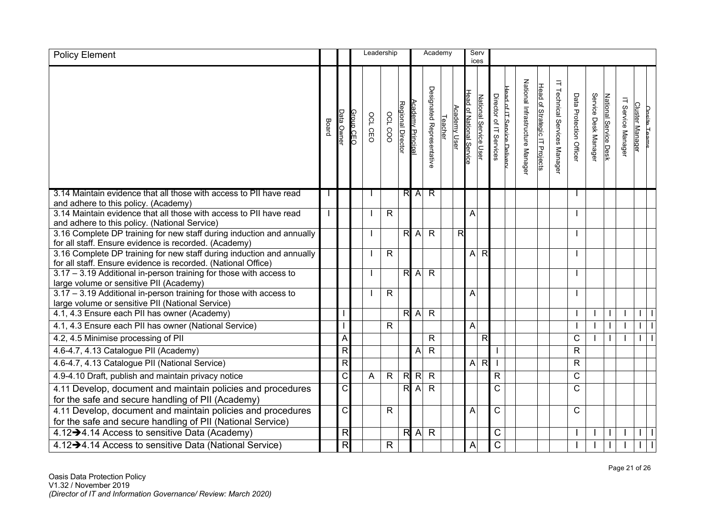| <b>Policy Element</b>                                                                                                                  |       |                          |           | Leadership |                |                   |                  | Academy                   |         |              | Serv                     | ices                  |                                                      |                                |                               |                                 |                        |                      |                       |                             |                       |                     |
|----------------------------------------------------------------------------------------------------------------------------------------|-------|--------------------------|-----------|------------|----------------|-------------------|------------------|---------------------------|---------|--------------|--------------------------|-----------------------|------------------------------------------------------|--------------------------------|-------------------------------|---------------------------------|------------------------|----------------------|-----------------------|-----------------------------|-----------------------|---------------------|
|                                                                                                                                        | Board | Data Owner               | Group CEC | OCL CEO    | <b>OCL COO</b> | Regional Director | Academy Principa | Designated Representative | Teacher | Academy User | Head of National Service | National Service User | ead of IT Service Deliver<br>Director of IT Services | National Infrastructure Manage | Head of Strategic IT Projects | Ε<br>Technical Services Manager | Data Protection Office | Service Desk Manager | National Service Desk | $\equiv$<br>Service Manager | <b>Cluster Manage</b> | <u>Onsite Teams</u> |
| 3.14 Maintain evidence that all those with access to PII have read<br>and adhere to this policy. (Academy)                             |       |                          |           |            |                |                   | R A              | $\overline{R}$            |         |              |                          |                       |                                                      |                                |                               |                                 |                        |                      |                       |                             |                       |                     |
| 3.14 Maintain evidence that all those with access to PII have read                                                                     |       |                          |           |            | $\mathsf{R}$   |                   |                  |                           |         |              | A                        |                       |                                                      |                                |                               |                                 |                        |                      |                       |                             |                       |                     |
| and adhere to this policy. (National Service)<br>3.16 Complete DP training for new staff during induction and annually                 |       |                          |           |            |                |                   | R A              | $\mathsf{R}$              |         | R            |                          |                       |                                                      |                                |                               |                                 |                        |                      |                       |                             |                       |                     |
| for all staff. Ensure evidence is recorded. (Academy)                                                                                  |       |                          |           |            |                |                   |                  |                           |         |              |                          |                       |                                                      |                                |                               |                                 |                        |                      |                       |                             |                       |                     |
| 3.16 Complete DP training for new staff during induction and annually<br>for all staff. Ensure evidence is recorded. (National Office) |       |                          |           |            | $\mathsf{R}$   |                   |                  |                           |         |              | A                        | $\mathsf{R}$          |                                                      |                                |                               |                                 |                        |                      |                       |                             |                       |                     |
| 3.17 - 3.19 Additional in-person training for those with access to                                                                     |       |                          |           |            |                |                   | R A              | $\overline{R}$            |         |              |                          |                       |                                                      |                                |                               |                                 |                        |                      |                       |                             |                       |                     |
| large volume or sensitive PII (Academy)                                                                                                |       |                          |           |            |                |                   |                  |                           |         |              |                          |                       |                                                      |                                |                               |                                 |                        |                      |                       |                             |                       |                     |
| 3.17 - 3.19 Additional in-person training for those with access to<br>large volume or sensitive PII (National Service)                 |       |                          |           |            | $\mathsf{R}$   |                   |                  |                           |         |              | A                        |                       |                                                      |                                |                               |                                 |                        |                      |                       |                             |                       |                     |
| 4.1, 4.3 Ensure each PII has owner (Academy)                                                                                           |       |                          |           |            |                |                   | $R$ A            | $\overline{R}$            |         |              |                          |                       |                                                      |                                |                               |                                 |                        |                      |                       |                             |                       |                     |
| 4.1, 4.3 Ensure each PII has owner (National Service)                                                                                  |       |                          |           |            | $\overline{R}$ |                   |                  |                           |         |              | $\overline{A}$           |                       |                                                      |                                |                               |                                 |                        |                      |                       |                             |                       |                     |
| 4.2, 4.5 Minimise processing of PII                                                                                                    |       | A                        |           |            |                |                   |                  | $\mathsf{R}$              |         |              |                          | $\mathsf{R}$          |                                                      |                                |                               |                                 | $\mathsf C$            |                      |                       |                             |                       |                     |
| 4.6-4.7, 4.13 Catalogue PII (Academy)                                                                                                  |       | $\overline{R}$           |           |            |                |                   | A                | $\mathsf{R}$              |         |              |                          |                       |                                                      |                                |                               |                                 | $\mathsf{R}$           |                      |                       |                             |                       |                     |
| 4.6-4.7, 4.13 Catalogue PII (National Service)                                                                                         |       | $\overline{\mathsf{R}}$  |           |            |                |                   |                  |                           |         |              | $\overline{A}$           | $\overline{R}$        |                                                      |                                |                               |                                 | $\mathsf{R}$           |                      |                       |                             |                       |                     |
| 4.9-4.10 Draft, publish and maintain privacy notice                                                                                    |       | C                        |           | A          | $\mathsf{R}$   |                   | $R$ $R$          | $\mathsf{R}$              |         |              |                          |                       | $\mathsf{R}$                                         |                                |                               |                                 | C                      |                      |                       |                             |                       |                     |
| 4.11 Develop, document and maintain policies and procedures                                                                            |       | $\overline{\text{C}}$    |           |            |                |                   | $R$ A            | $\mathsf{R}$              |         |              |                          |                       | C                                                    |                                |                               |                                 | C                      |                      |                       |                             |                       |                     |
| for the safe and secure handling of PII (Academy)                                                                                      |       | $\overline{\text{c}}$    |           |            | $\overline{R}$ |                   |                  |                           |         |              |                          |                       | $\mathsf C$                                          |                                |                               |                                 | C                      |                      |                       |                             |                       |                     |
| 4.11 Develop, document and maintain policies and procedures<br>for the safe and secure handling of PII (National Service)              |       |                          |           |            |                |                   |                  |                           |         |              | A                        |                       |                                                      |                                |                               |                                 |                        |                      |                       |                             |                       |                     |
| 4.12->4.14 Access to sensitive Data (Academy)                                                                                          |       | $\mathsf{R}$             |           |            |                |                   | R A              | $\mathsf{R}$              |         |              |                          |                       | C                                                    |                                |                               |                                 |                        |                      |                       |                             |                       |                     |
| 4.12 - 4.14 Access to sensitive Data (National Service)                                                                                |       | $\overline{\mathcal{R}}$ |           |            | $\mathsf{R}$   |                   |                  |                           |         |              | $\overline{A}$           |                       | $\overline{C}$                                       |                                |                               |                                 |                        |                      |                       |                             |                       |                     |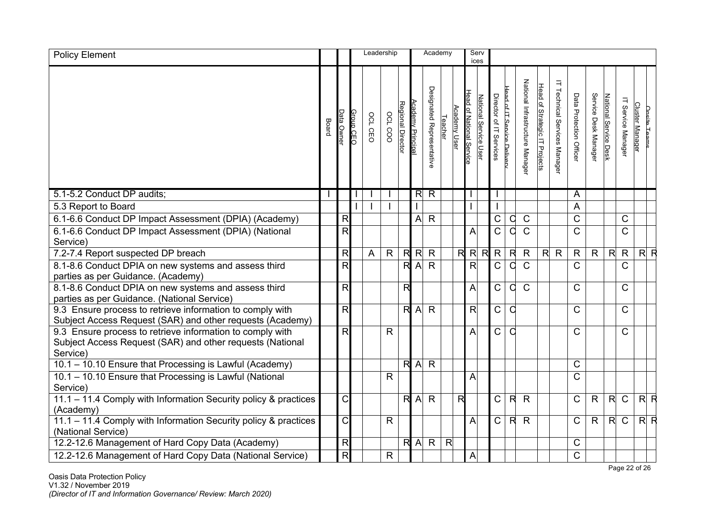| <b>Policy Element</b>                                                                                                              |       |                          |                |         | Leadership   |                          |                 | Academy                   |                |              |                          | Serv<br>ices          |                         |                            |                                |                               |                                |                         |                      |                       |                       |                                               |
|------------------------------------------------------------------------------------------------------------------------------------|-------|--------------------------|----------------|---------|--------------|--------------------------|-----------------|---------------------------|----------------|--------------|--------------------------|-----------------------|-------------------------|----------------------------|--------------------------------|-------------------------------|--------------------------------|-------------------------|----------------------|-----------------------|-----------------------|-----------------------------------------------|
|                                                                                                                                    | Board | ata Owne                 | GEC<br>GEC     | OCL CEO | OCL COO      | Regional Director        | cademy Principa | Designated Representative | Teacher        | Academy User | Head of National Service | National Service User | Director of IT Services | Head of IT Service Deliver | National Infrastructure Manage | Head of Strategic IT Projects | Ε<br>Technical Services Manage | Data Protection Officer | Service Desk Manager | National Service Desk | IT Service<br>Managel | <b>Cluster Manager</b><br><b>Onsite Teams</b> |
| 5.1-5.2 Conduct DP audits;                                                                                                         |       |                          |                |         |              |                          | $\overline{R}$  | $\overline{R}$            |                |              |                          |                       |                         |                            |                                |                               |                                | A                       |                      |                       |                       |                                               |
| 5.3 Report to Board                                                                                                                |       |                          | $\overline{1}$ |         |              |                          |                 |                           |                |              |                          |                       |                         |                            |                                |                               |                                | A                       |                      |                       |                       |                                               |
| 6.1-6.6 Conduct DP Impact Assessment (DPIA) (Academy)                                                                              |       | $\mathsf{R}$             |                |         |              |                          | A               | $\mathsf{R}$              |                |              |                          |                       | $\mathsf C$             | q                          | $\mathsf{C}$                   |                               |                                | $\overline{C}$          |                      |                       | C                     |                                               |
| 6.1-6.6 Conduct DP Impact Assessment (DPIA) (National<br>Service)                                                                  |       | R                        |                |         |              |                          |                 |                           |                |              | Α                        |                       | $\overline{\text{C}}$   | C                          | $\mathsf{C}$                   |                               |                                | $\overline{\text{C}}$   |                      |                       | $\mathsf{C}$          |                                               |
| 7.2-7.4 Report suspected DP breach                                                                                                 |       | $\mathsf{R}$             |                | A       | $\mathsf{R}$ | $\overline{\mathcal{R}}$ | $\mathsf{R}$    | $\mathsf R$               |                | R            |                          | $R$ R                 | $\mathsf R$             | $\mathsf{R}$               | $\mathsf{R}$                   |                               | R <sub>R</sub>                 | $\mathsf{R}$            | $\mathsf{R}$         | $\mathsf{R}$          | $\mathsf{R}$          | $R$ $R$                                       |
| 8.1-8.6 Conduct DPIA on new systems and assess third<br>parties as per Guidance. (Academy)                                         |       | $\overline{\mathsf{R}}$  |                |         |              | $\overline{\mathsf{R}}$  | $\overline{A}$  | $\overline{R}$            |                |              | $\overline{R}$           |                       | $\overline{C}$          | $\mathsf C$                | $\mathsf{C}$                   |                               |                                | $\mathsf{C}$            |                      |                       | $\mathsf{C}$          |                                               |
| 8.1-8.6 Conduct DPIA on new systems and assess third<br>parties as per Guidance. (National Service)                                |       | R                        |                |         |              | R                        |                 |                           |                |              | $\mathsf{A}$             |                       | $\mathsf C$             | O                          | $\mathsf{C}$                   |                               |                                | $\mathsf{C}$            |                      |                       | C                     |                                               |
| 9.3 Ensure process to retrieve information to comply with<br>Subject Access Request (SAR) and other requests (Academy)             |       | $\overline{\mathsf{R}}$  |                |         |              | $\overline{\mathsf{R}}$  | $\mathsf{A}$    | $\overline{R}$            |                |              | R                        |                       | $\overline{C}$          | C                          |                                |                               |                                | $\mathsf{C}$            |                      |                       | $\mathsf{C}$          |                                               |
| 9.3 Ensure process to retrieve information to comply with<br>Subject Access Request (SAR) and other requests (National<br>Service) |       | R                        |                |         | $\mathsf{R}$ |                          |                 |                           |                |              | A                        |                       | $\mathsf C$             | O                          |                                |                               |                                | $\mathsf C$             |                      |                       | C                     |                                               |
| 10.1 - 10.10 Ensure that Processing is Lawful (Academy)                                                                            |       |                          |                |         |              | $\overline{\mathcal{R}}$ | $\overline{A}$  | $\mathsf{R}$              |                |              |                          |                       |                         |                            |                                |                               |                                | $\mathsf C$             |                      |                       |                       |                                               |
| 10.1 - 10.10 Ensure that Processing is Lawful (National<br>Service)                                                                |       |                          |                |         | $\mathsf{R}$ |                          |                 |                           |                |              | $\overline{A}$           |                       |                         |                            |                                |                               |                                | $\mathsf{C}$            |                      |                       |                       |                                               |
| 11.1 - 11.4 Comply with Information Security policy & practices<br>(Academy)                                                       |       | $\mathsf C$              |                |         |              | $\overline{\mathsf{R}}$  | $\overline{A}$  | $\mathsf{R}$              |                | $\mathsf{R}$ |                          |                       | $\mathsf C$             | $\mathsf{R}$               | $\mathsf{R}$                   |                               |                                | $\mathsf C$             | $\mathsf{R}$         | $\mathsf{R}$          | $\mathsf{C}$          | $R$ $R$                                       |
| 11.1 - 11.4 Comply with Information Security policy & practices<br>(National Service)                                              |       | $\mathsf C$              |                |         | $\mathsf{R}$ |                          |                 |                           |                |              | A                        |                       | $\mathsf{C}$            | $\mathsf{R}$               | $\mathsf{R}$                   |                               |                                | $\mathsf C$             | $\mathsf{R}$         | R                     | $\mathsf{C}$          | $R$ $R$                                       |
| 12.2-12.6 Management of Hard Copy Data (Academy)                                                                                   |       | $\overline{\mathcal{D}}$ |                |         |              | $\overline{\mathsf{R}}$  | $\overline{A}$  | $\overline{R}$            | $\overline{R}$ |              |                          |                       |                         |                            |                                |                               |                                | C                       |                      |                       |                       |                                               |
| 12.2-12.6 Management of Hard Copy Data (National Service)                                                                          |       | $\overline{\mathsf{R}}$  |                |         | $\mathsf{R}$ |                          |                 |                           |                |              | $\overline{A}$           |                       |                         |                            |                                |                               |                                | $\mathsf C$             |                      |                       |                       |                                               |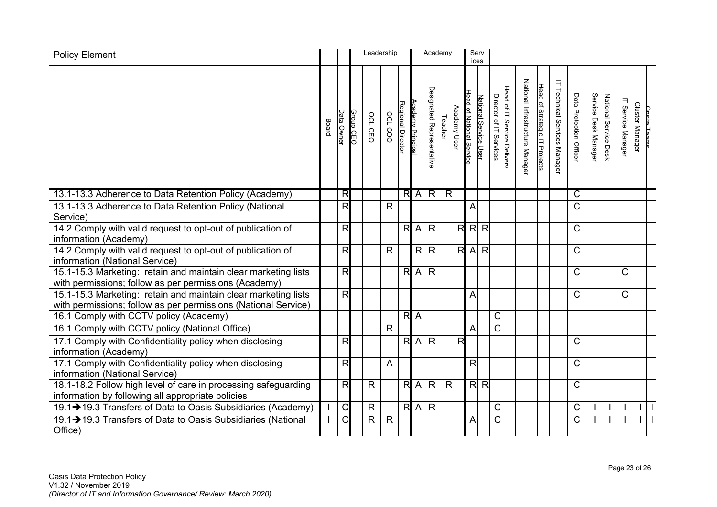| <b>Policy Element</b>                                                                                                            |       |                         |           | Leadership   |              |                          |                   | Academy                   |                         |              |                          | Serv<br>ices          |                                                       |                                |                               |                                         |                         |                      |                       |                             |                        |                     |
|----------------------------------------------------------------------------------------------------------------------------------|-------|-------------------------|-----------|--------------|--------------|--------------------------|-------------------|---------------------------|-------------------------|--------------|--------------------------|-----------------------|-------------------------------------------------------|--------------------------------|-------------------------------|-----------------------------------------|-------------------------|----------------------|-----------------------|-----------------------------|------------------------|---------------------|
|                                                                                                                                  | Board | Data Ownei              | Group CEC | OCL CEO      | OCL COO      | <b>Regional Director</b> | Academy Principal | Designated Representative | Teacher                 | Academy User | Head of National Service | National Service User | Head of IT Service Deliver<br>Director of IT Services | National Infrastructure Manage | Head of Strategic IT Projects | $\exists$<br>Technical Services Manager | Data Protection Officer | Service Desk Manager | National Service Desk | $\equiv$<br>Service Manager | <b>Cluster Manager</b> | <b>Onsite Teams</b> |
| 13.1-13.3 Adherence to Data Retention Policy (Academy)                                                                           |       | R                       |           |              |              |                          | R A               | $\overline{R}$            | $\overline{\mathsf{R}}$ |              |                          |                       |                                                       |                                |                               |                                         | C                       |                      |                       |                             |                        |                     |
| 13.1-13.3 Adherence to Data Retention Policy (National<br>Service)                                                               |       | $\overline{\mathsf{R}}$ |           |              | $\mathsf{R}$ |                          |                   |                           |                         |              | A                        |                       |                                                       |                                |                               |                                         | $\mathsf{C}$            |                      |                       |                             |                        |                     |
| 14.2 Comply with valid request to opt-out of publication of<br>information (Academy)                                             |       | R                       |           |              |              | R                        | $\overline{A}$    | $\mathsf{R}$              |                         | R            | $\mathsf{R}$             | $\mathsf{R}$          |                                                       |                                |                               |                                         | $\mathsf{C}$            |                      |                       |                             |                        |                     |
| 14.2 Comply with valid request to opt-out of publication of<br>information (National Service)                                    |       | R                       |           |              | $\mathsf{R}$ |                          | R                 | $\mathsf{R}$              |                         | R            | $\overline{A}$           | $\mathsf{R}$          |                                                       |                                |                               |                                         | C                       |                      |                       |                             |                        |                     |
| 15.1-15.3 Marketing: retain and maintain clear marketing lists<br>with permissions; follow as per permissions (Academy)          |       | R                       |           |              |              | R                        | $\overline{A}$    | $\mathsf{R}$              |                         |              |                          |                       |                                                       |                                |                               |                                         | C                       |                      |                       | $\mathsf{C}$                |                        |                     |
| 15.1-15.3 Marketing: retain and maintain clear marketing lists<br>with permissions; follow as per permissions (National Service) |       | R                       |           |              |              |                          |                   |                           |                         |              | A                        |                       |                                                       |                                |                               |                                         | $\mathsf{C}$            |                      |                       | $\mathsf{C}$                |                        |                     |
| 16.1 Comply with CCTV policy (Academy)                                                                                           |       |                         |           |              |              | $\overline{\mathsf{R}}$  | $\overline{A}$    |                           |                         |              |                          |                       | $\mathsf C$                                           |                                |                               |                                         |                         |                      |                       |                             |                        |                     |
| 16.1 Comply with CCTV policy (National Office)                                                                                   |       |                         |           |              | $\mathsf{R}$ |                          |                   |                           |                         |              | $\overline{A}$           |                       | $\mathsf C$                                           |                                |                               |                                         |                         |                      |                       |                             |                        |                     |
| 17.1 Comply with Confidentiality policy when disclosing<br>information (Academy)                                                 |       | R                       |           |              |              | R                        | $\overline{A}$    | $\mathsf{R}$              |                         | R            |                          |                       |                                                       |                                |                               |                                         | C                       |                      |                       |                             |                        |                     |
| 17.1 Comply with Confidentiality policy when disclosing<br>information (National Service)                                        |       | $\overline{\mathsf{R}}$ |           |              | A            |                          |                   |                           |                         |              | R                        |                       |                                                       |                                |                               |                                         | $\mathsf{C}$            |                      |                       |                             |                        |                     |
| 18.1-18.2 Follow high level of care in processing safeguarding<br>information by following all appropriate policies              |       | $\overline{\mathsf{R}}$ |           | $\mathsf{R}$ |              | R                        | $\overline{A}$    | $\mathsf{R}$              | $\mathsf{R}$            |              |                          | $R$ $R$               |                                                       |                                |                               |                                         | С                       |                      |                       |                             |                        |                     |
| 19.1→19.3 Transfers of Data to Oasis Subsidiaries (Academy)                                                                      |       | $\overline{C}$          |           | $\mathsf{R}$ |              |                          | $R$ $A$           | $\mathsf{R}$              |                         |              |                          |                       | $\mathsf C$                                           |                                |                               |                                         | C                       |                      |                       |                             |                        |                     |
| 19.1→19.3 Transfers of Data to Oasis Subsidiaries (National<br>Office)                                                           |       | $\overline{\text{C}}$   |           | R            | $\mathsf{R}$ |                          |                   |                           |                         |              | Α                        |                       | $\mathsf C$                                           |                                |                               |                                         | C                       |                      |                       |                             |                        |                     |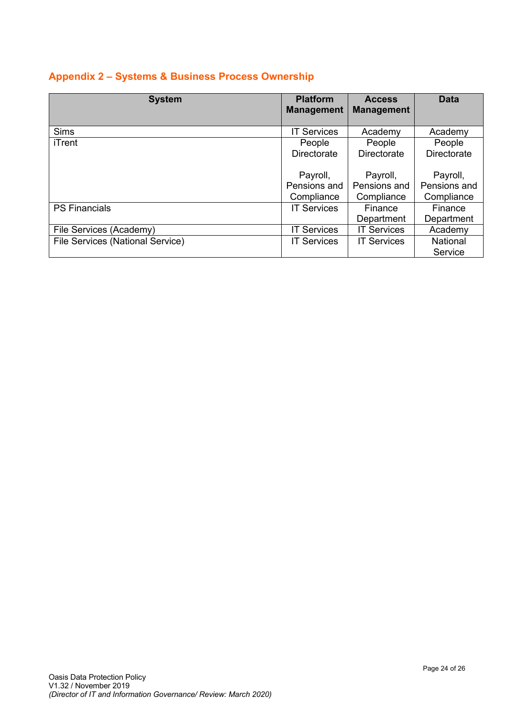## **Appendix 2 – Systems & Business Process Ownership**

| <b>System</b>                    | <b>Platform</b><br><b>Management</b> | <b>Access</b><br><b>Management</b> | <b>Data</b>        |
|----------------------------------|--------------------------------------|------------------------------------|--------------------|
| <b>Sims</b>                      | <b>IT Services</b>                   | Academy                            | Academy            |
| iTrent                           | People                               | People                             | People             |
|                                  | Directorate                          | <b>Directorate</b>                 | <b>Directorate</b> |
|                                  | Payroll,                             | Payroll,                           | Payroll,           |
|                                  | Pensions and                         | Pensions and                       | Pensions and       |
|                                  | Compliance                           | Compliance                         | Compliance         |
| <b>PS Financials</b>             | <b>IT Services</b>                   | Finance                            | Finance            |
|                                  |                                      | Department                         | Department         |
| File Services (Academy)          | <b>IT Services</b>                   | <b>IT Services</b>                 | Academy            |
| File Services (National Service) | <b>IT Services</b>                   | <b>IT Services</b>                 | <b>National</b>    |
|                                  |                                      |                                    | Service            |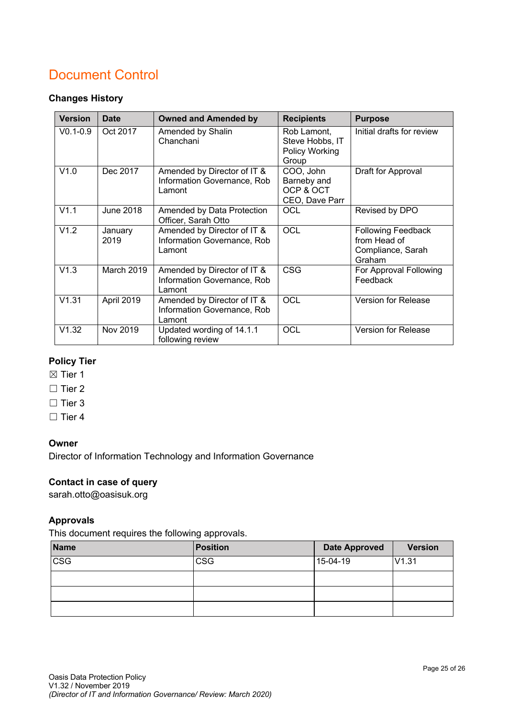## Document Control

#### **Changes History**

| <b>Version</b> | <b>Date</b>      | <b>Owned and Amended by</b>                                          | <b>Recipients</b>                                         | <b>Purpose</b>                                                           |
|----------------|------------------|----------------------------------------------------------------------|-----------------------------------------------------------|--------------------------------------------------------------------------|
| $V0.1 - 0.9$   | Oct 2017         | Amended by Shalin<br>Chanchani                                       | Rob Lamont,<br>Steve Hobbs, IT<br>Policy Working<br>Group | Initial drafts for review                                                |
| V1.0           | Dec 2017         | Amended by Director of IT &<br>Information Governance, Rob<br>Lamont | COO, John<br>Barneby and<br>OCP & OCT<br>CEO, Dave Parr   | Draft for Approval                                                       |
| V1.1           | <b>June 2018</b> | Amended by Data Protection<br>Officer, Sarah Otto                    | OCL                                                       | Revised by DPO                                                           |
| V1.2           | January<br>2019  | Amended by Director of IT &<br>Information Governance, Rob<br>Lamont | OCL                                                       | <b>Following Feedback</b><br>from Head of<br>Compliance, Sarah<br>Graham |
| V1.3           | March 2019       | Amended by Director of IT &<br>Information Governance, Rob<br>Lamont | <b>CSG</b>                                                | For Approval Following<br>Feedback                                       |
| V1.31          | April 2019       | Amended by Director of IT &<br>Information Governance, Rob<br>Lamont | OCL                                                       | <b>Version for Release</b>                                               |
| V1.32          | Nov 2019         | Updated wording of 14.1.1<br>following review                        | OCL                                                       | Version for Release                                                      |

#### **Policy Tier**

⊠ Tier 1

□ Tier 2

□ Tier 3

☐ Tier 4

#### **Owner**

Director of Information Technology and Information Governance

## **Contact in case of query**

sarah.otto@oasisuk.org

#### **Approvals**

This document requires the following approvals.

| <b>Name</b>             | Position   | <b>Date Approved</b> | <b>Version</b> |
|-------------------------|------------|----------------------|----------------|
| $\overline{\text{csg}}$ | <b>CSG</b> | 15-04-19             | V1.31          |
|                         |            |                      |                |
|                         |            |                      |                |
|                         |            |                      |                |